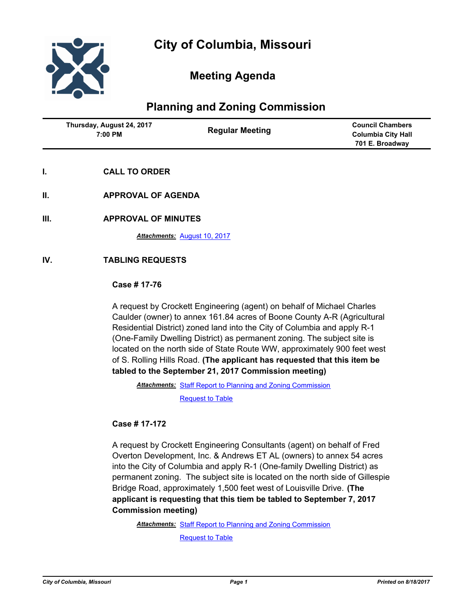

# **Meeting Agenda**

# **Planning and Zoning Commission**

| <b>Regular Meeting</b><br>7:00 PM | <b>Council Chambers</b><br><b>Columbia City Hall</b><br>701 E. Broadway |
|-----------------------------------|-------------------------------------------------------------------------|
|-----------------------------------|-------------------------------------------------------------------------|

- **I. CALL TO ORDER**
- **II. APPROVAL OF AGENDA**
- **III. APPROVAL OF MINUTES**

*Attachments:* [August 10, 2017](http://gocolumbiamo.legistar.com/gateway.aspx?M=F&ID=d89d873a-0d6b-49af-a90f-befca12bfb94.docx)

### **IV. TABLING REQUESTS**

### **Case # 17-76**

A request by Crockett Engineering (agent) on behalf of Michael Charles Caulder (owner) to annex 161.84 acres of Boone County A-R (Agricultural Residential District) zoned land into the City of Columbia and apply R-1 (One-Family Dwelling District) as permanent zoning. The subject site is located on the north side of State Route WW, approximately 900 feet west of S. Rolling Hills Road. **(The applicant has requested that this item be tabled to the September 21, 2017 Commission meeting)**

Attachments: [Staff Report to Planning and Zoning Commission](http://gocolumbiamo.legistar.com/gateway.aspx?M=F&ID=b326839a-a6e1-41dd-ba72-73c12c343a7f.pdf)

[Request to Table](http://gocolumbiamo.legistar.com/gateway.aspx?M=F&ID=1ad251ad-d0f8-4c5f-ae84-0e353d872db0.pdf)

**Case # 17-172**

A request by Crockett Engineering Consultants (agent) on behalf of Fred Overton Development, Inc. & Andrews ET AL (owners) to annex 54 acres into the City of Columbia and apply R-1 (One-family Dwelling District) as permanent zoning. The subject site is located on the north side of Gillespie Bridge Road, approximately 1,500 feet west of Louisville Drive. **(The applicant is requesting that this tiem be tabled to September 7, 2017 Commission meeting)**

Attachments: [Staff Report to Planning and Zoning Commission](http://gocolumbiamo.legistar.com/gateway.aspx?M=F&ID=2908619b-44af-4531-8d71-213fda185481.pdf) [Request to Table](http://gocolumbiamo.legistar.com/gateway.aspx?M=F&ID=1a42fc77-9e5a-4324-aaaf-8218f57f456c.pdf)